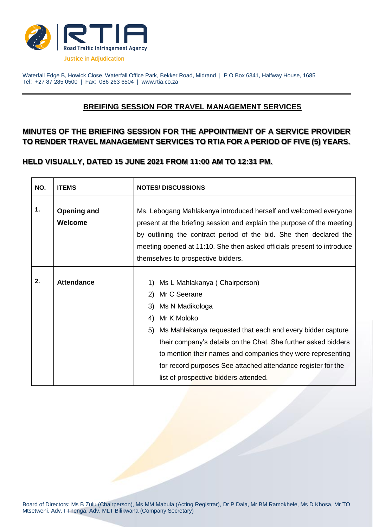

Waterfall Edge B, Howick Close, Waterfall Office Park, Bekker Road, Midrand | P O Box 6341, Halfway House, 1685 Tel: +27 87 285 0500 | Fax: 086 263 6504 | www.rtia.co.za

## **BREIFING SESSION FOR TRAVEL MANAGEMENT SERVICES**

## **MINUTES OF THE BRIEFING SESSION FOR THE APPOINTMENT OF A SERVICE PROVIDER TO RENDER TRAVEL MANAGEMENT SERVICES TO RTIA FOR A PERIOD OF FIVE (5) YEARS.**

## **HELD VISUALLY, DATED 15 JUNE 2021 FROM 11:00 AM TO 12:31 PM.**

| NO. | <b>ITEMS</b>                         | <b>NOTES/DISCUSSIONS</b>                                                                                                                                                                                                                                                                                                                                                                                     |  |
|-----|--------------------------------------|--------------------------------------------------------------------------------------------------------------------------------------------------------------------------------------------------------------------------------------------------------------------------------------------------------------------------------------------------------------------------------------------------------------|--|
| 1.  | <b>Opening and</b><br><b>Welcome</b> | Ms. Lebogang Mahlakanya introduced herself and welcomed everyone<br>present at the briefing session and explain the purpose of the meeting<br>by outlining the contract period of the bid. She then declared the<br>meeting opened at 11:10. She then asked officials present to introduce<br>themselves to prospective bidders.                                                                             |  |
| 2.  | <b>Attendance</b>                    | 1) Ms L Mahlakanya (Chairperson)<br>2) Mr C Seerane<br>3) Ms N Madikologa<br>Mr K Moloko<br>4)<br>Ms Mahlakanya requested that each and every bidder capture<br>5)<br>their company's details on the Chat. She further asked bidders<br>to mention their names and companies they were representing<br>for record purposes See attached attendance register for the<br>list of prospective bidders attended. |  |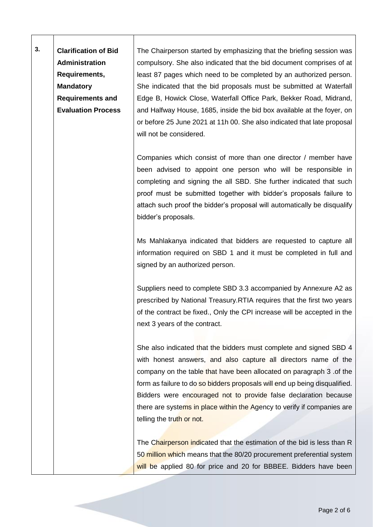**3. Clarification of Bid Administration Requirements, Mandatory Requirements and Evaluation Process** The Chairperson started by emphasizing that the briefing session was compulsory. She also indicated that the bid document comprises of at least 87 pages which need to be completed by an authorized person. She indicated that the bid proposals must be submitted at Waterfall Edge B, Howick Close, Waterfall Office Park, Bekker Road, Midrand, and Halfway House, 1685, inside the bid box available at the foyer, on or before 25 June 2021 at 11h 00. She also indicated that late proposal

will not be considered.

Companies which consist of more than one director / member have been advised to appoint one person who will be responsible in completing and signing the all SBD. She further indicated that such proof must be submitted together with bidder's proposals failure to attach such proof the bidder's proposal will automatically be disqualify bidder's proposals.

Ms Mahlakanya indicated that bidders are requested to capture all information required on SBD 1 and it must be completed in full and signed by an authorized person.

Suppliers need to complete SBD 3.3 accompanied by Annexure A2 as prescribed by National Treasury.RTIA requires that the first two years of the contract be fixed., Only the CPI increase will be accepted in the next 3 years of the contract.

She also indicated that the bidders must complete and signed SBD 4 with honest answers, and also capture all directors name of the company on the table that have been allocated on paragraph 3 .of the form as failure to do so bidders proposals will end up being disqualified. Bidders were encouraged not to provide false declaration because there are systems in place within the Agency to verify if companies are telling the truth or not.

The Chairperson indicated that the estimation of the bid is less than R 50 million which means that the 80/20 procurement preferential system will be applied 80 for price and 20 for BBBEE. Bidders have been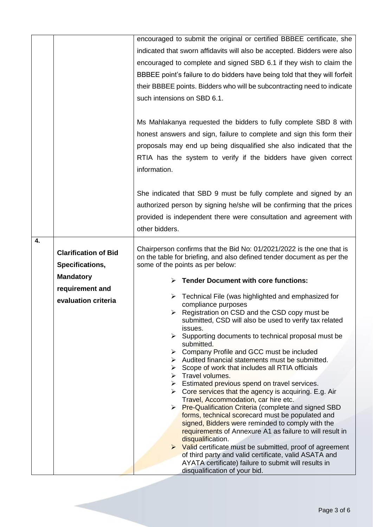|    |                             | encouraged to submit the original or certified BBBEE certificate, she                                                                           |  |
|----|-----------------------------|-------------------------------------------------------------------------------------------------------------------------------------------------|--|
|    |                             | indicated that sworn affidavits will also be accepted. Bidders were also                                                                        |  |
|    |                             | encouraged to complete and signed SBD 6.1 if they wish to claim the                                                                             |  |
|    |                             | BBBEE point's failure to do bidders have being told that they will forfeit                                                                      |  |
|    |                             | their BBBEE points. Bidders who will be subcontracting need to indicate                                                                         |  |
|    |                             | such intensions on SBD 6.1.                                                                                                                     |  |
|    |                             |                                                                                                                                                 |  |
|    |                             | Ms Mahlakanya requested the bidders to fully complete SBD 8 with                                                                                |  |
|    |                             |                                                                                                                                                 |  |
|    |                             | honest answers and sign, failure to complete and sign this form their                                                                           |  |
|    |                             | proposals may end up being disqualified she also indicated that the                                                                             |  |
|    |                             | RTIA has the system to verify if the bidders have given correct                                                                                 |  |
|    |                             | information.                                                                                                                                    |  |
|    |                             |                                                                                                                                                 |  |
|    |                             | She indicated that SBD 9 must be fully complete and signed by an                                                                                |  |
|    |                             | authorized person by signing he/she will be confirming that the prices                                                                          |  |
|    |                             | provided is independent there were consultation and agreement with                                                                              |  |
|    |                             | other bidders.                                                                                                                                  |  |
| 4. |                             |                                                                                                                                                 |  |
|    | <b>Clarification of Bid</b> | Chairperson confirms that the Bid No: 01/2021/2022 is the one that is<br>on the table for briefing, and also defined tender document as per the |  |
|    | Specifications,             | some of the points as per below:                                                                                                                |  |
|    | <b>Mandatory</b>            | $\triangleright$ Tender Document with core functions:                                                                                           |  |
|    | requirement and             |                                                                                                                                                 |  |
|    | evaluation criteria         | Technical File (was highlighted and emphasized for                                                                                              |  |
|    |                             | compliance purposes<br>Registration on CSD and the CSD copy must be                                                                             |  |
|    |                             | submitted, CSD will also be used to verify tax related                                                                                          |  |
|    |                             | issues.<br>Supporting documents to technical proposal must be<br>➤                                                                              |  |
|    |                             | submitted.                                                                                                                                      |  |
|    |                             | Company Profile and GCC must be included                                                                                                        |  |
|    |                             | $\triangleright$ Audited financial statements must be submitted.<br>$\triangleright$ Scope of work that includes all RTIA officials             |  |
|    |                             | > Travel volumes.                                                                                                                               |  |
|    |                             | $\triangleright$ Estimated previous spend on travel services.                                                                                   |  |
|    |                             | $\triangleright$ Core services that the agency is acquiring. E.g. Air<br>Travel, Accommodation, car hire etc.                                   |  |
|    |                             | <b>Pre-Qualification Criteria (complete and signed SBD)</b><br>➤                                                                                |  |
|    |                             | forms, technical scorecard must be populated and<br>signed, Bidders were reminded to comply with the                                            |  |
|    |                             | requirements of Annexure A1 as failure to will result in                                                                                        |  |
|    |                             | disqualification.                                                                                                                               |  |
|    |                             | $\triangleright$ Valid certificate must be submitted, proof of agreement<br>of third party and valid certificate, valid ASATA and               |  |
|    |                             | AYATA certificate) failure to submit will results in                                                                                            |  |
|    |                             | disqualification of your bid.                                                                                                                   |  |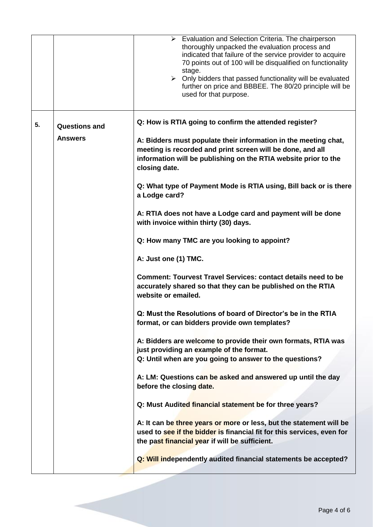|    |                                        | $\triangleright$ Evaluation and Selection Criteria. The chairperson<br>thoroughly unpacked the evaluation process and<br>indicated that failure of the service provider to acquire<br>70 points out of 100 will be disqualified on functionality<br>stage.<br>$\triangleright$ Only bidders that passed functionality will be evaluated<br>further on price and BBBEE. The 80/20 principle will be<br>used for that purpose. |
|----|----------------------------------------|------------------------------------------------------------------------------------------------------------------------------------------------------------------------------------------------------------------------------------------------------------------------------------------------------------------------------------------------------------------------------------------------------------------------------|
| 5. | <b>Questions and</b><br><b>Answers</b> | Q: How is RTIA going to confirm the attended register?<br>A: Bidders must populate their information in the meeting chat,<br>meeting is recorded and print screen will be done, and all<br>information will be publishing on the RTIA website prior to the<br>closing date.                                                                                                                                                  |
|    |                                        | Q: What type of Payment Mode is RTIA using, Bill back or is there<br>a Lodge card?                                                                                                                                                                                                                                                                                                                                           |
|    |                                        | A: RTIA does not have a Lodge card and payment will be done<br>with invoice within thirty (30) days.                                                                                                                                                                                                                                                                                                                         |
|    |                                        | Q: How many TMC are you looking to appoint?                                                                                                                                                                                                                                                                                                                                                                                  |
|    |                                        | A: Just one (1) TMC.                                                                                                                                                                                                                                                                                                                                                                                                         |
|    |                                        | <b>Comment: Tourvest Travel Services: contact details need to be</b><br>accurately shared so that they can be published on the RTIA<br>website or emailed.                                                                                                                                                                                                                                                                   |
|    |                                        | Q: Must the Resolutions of board of Director's be in the RTIA<br>format, or can bidders provide own templates?                                                                                                                                                                                                                                                                                                               |
|    |                                        | A: Bidders are welcome to provide their own formats, RTIA was<br>just providing an example of the format.<br>Q: Until when are you going to answer to the questions?                                                                                                                                                                                                                                                         |
|    |                                        | A: LM: Questions can be asked and answered up until the day<br>before the closing date.                                                                                                                                                                                                                                                                                                                                      |
|    |                                        | Q: Must Audited financial statement be for three years?                                                                                                                                                                                                                                                                                                                                                                      |
|    |                                        | A: It can be three years or more or less, but the statement will be<br>used to see if the bidder is financial fit for this services, even for<br>the past financial year if will be sufficient.                                                                                                                                                                                                                              |
|    |                                        | Q: Will independently audited financial statements be accepted?                                                                                                                                                                                                                                                                                                                                                              |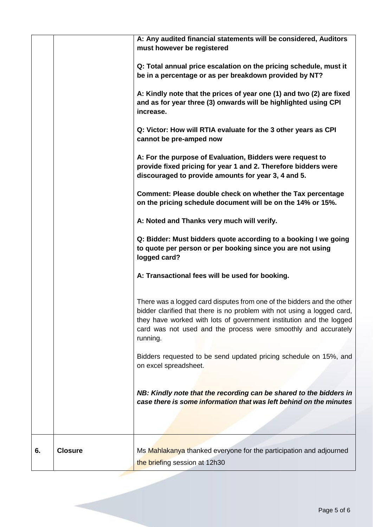|    |                | A: Any audited financial statements will be considered, Auditors<br>must however be registered<br>Q: Total annual price escalation on the pricing schedule, must it<br>be in a percentage or as per breakdown provided by NT?<br>A: Kindly note that the prices of year one (1) and two (2) are fixed<br>and as for year three (3) onwards will be highlighted using CPI<br>increase.<br>Q: Victor: How will RTIA evaluate for the 3 other years as CPI<br>cannot be pre-amped now<br>A: For the purpose of Evaluation, Bidders were request to<br>provide fixed pricing for year 1 and 2. Therefore bidders were<br>discouraged to provide amounts for year 3, 4 and 5.<br>Comment: Please double check on whether the Tax percentage<br>on the pricing schedule document will be on the 14% or 15%.<br>A: Noted and Thanks very much will verify.<br>Q: Bidder: Must bidders quote according to a booking I we going<br>to quote per person or per booking since you are not using<br>logged card?<br>A: Transactional fees will be used for booking.<br>There was a logged card disputes from one of the bidders and the other<br>bidder clarified that there is no problem with not using a logged card,<br>they have worked with lots of government institution and the logged<br>card was not used and the process were smoothly and accurately<br>running.<br>Bidders requested to be send updated pricing schedule on 15%, and<br>on excel spreadsheet.<br>NB: Kindly note that the recording can be shared to the bidders in<br>case there is some information that was left behind on the minutes |
|----|----------------|-------------------------------------------------------------------------------------------------------------------------------------------------------------------------------------------------------------------------------------------------------------------------------------------------------------------------------------------------------------------------------------------------------------------------------------------------------------------------------------------------------------------------------------------------------------------------------------------------------------------------------------------------------------------------------------------------------------------------------------------------------------------------------------------------------------------------------------------------------------------------------------------------------------------------------------------------------------------------------------------------------------------------------------------------------------------------------------------------------------------------------------------------------------------------------------------------------------------------------------------------------------------------------------------------------------------------------------------------------------------------------------------------------------------------------------------------------------------------------------------------------------------------------------------------------------------------------------------------------------|
|    |                |                                                                                                                                                                                                                                                                                                                                                                                                                                                                                                                                                                                                                                                                                                                                                                                                                                                                                                                                                                                                                                                                                                                                                                                                                                                                                                                                                                                                                                                                                                                                                                                                             |
| 6. | <b>Closure</b> | Ms Mahlakanya thanked everyone for the participation and adjourned<br>the briefing session at 12h30                                                                                                                                                                                                                                                                                                                                                                                                                                                                                                                                                                                                                                                                                                                                                                                                                                                                                                                                                                                                                                                                                                                                                                                                                                                                                                                                                                                                                                                                                                         |